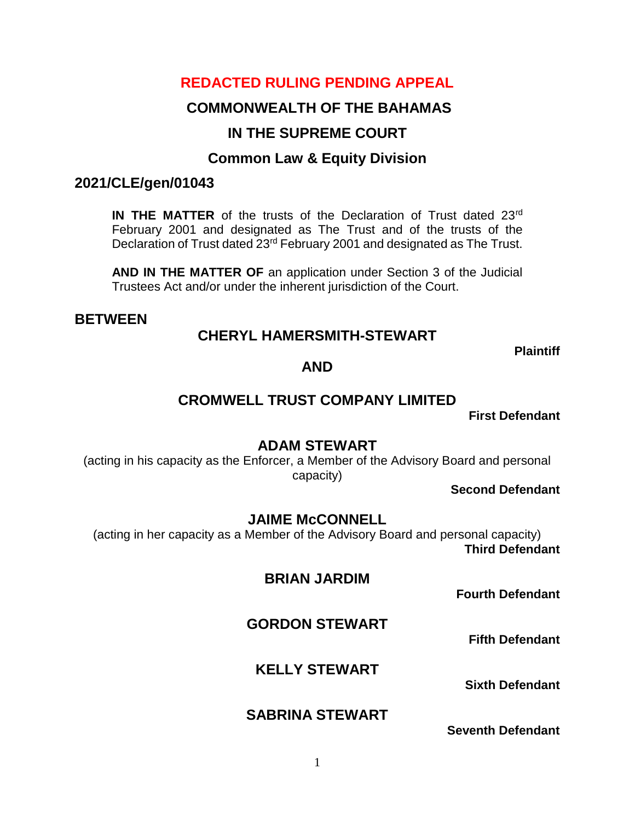# **REDACTED RULING PENDING APPEAL**

# **COMMONWEALTH OF THE BAHAMAS**

# **IN THE SUPREME COURT**

# **Common Law & Equity Division**

## **2021/CLE/gen/01043**

**IN THE MATTER** of the trusts of the Declaration of Trust dated 23<sup>rd</sup> February 2001 and designated as The Trust and of the trusts of the Declaration of Trust dated 23rd February 2001 and designated as The Trust.

**AND IN THE MATTER OF** an application under Section 3 of the Judicial Trustees Act and/or under the inherent jurisdiction of the Court.

## **BETWEEN**

## **CHERYL HAMERSMITH-STEWART**

**Plaintiff**

## **AND**

# **CROMWELL TRUST COMPANY LIMITED**

**First Defendant**

## **ADAM STEWART**

(acting in his capacity as the Enforcer, a Member of the Advisory Board and personal capacity)

**Second Defendant**

## **JAIME McCONNELL**

(acting in her capacity as a Member of the Advisory Board and personal capacity) **Third Defendant**

## **BRIAN JARDIM**

**Fourth Defendant**

# **GORDON STEWART**

**Fifth Defendant**

# **KELLY STEWART**

**Sixth Defendant** 

# **SABRINA STEWART**

**Seventh Defendant**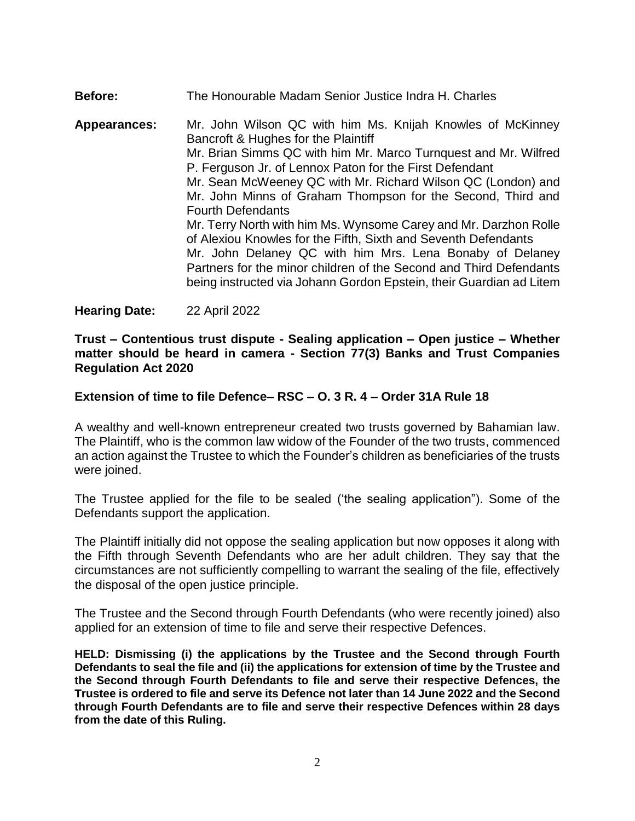### **Before:** The Honourable Madam Senior Justice Indra H. Charles **Appearances:** Mr. John Wilson QC with him Ms. Knijah Knowles of McKinney Bancroft & Hughes for the Plaintiff Mr. Brian Simms QC with him Mr. Marco Turnquest and Mr. Wilfred P. Ferguson Jr. of Lennox Paton for the First Defendant Mr. Sean McWeeney QC with Mr. Richard Wilson QC (London) and Mr. John Minns of Graham Thompson for the Second, Third and Fourth Defendants Mr. Terry North with him Ms. Wynsome Carey and Mr. Darzhon Rolle of Alexiou Knowles for the Fifth, Sixth and Seventh Defendants Mr. John Delaney QC with him Mrs. Lena Bonaby of Delaney Partners for the minor children of the Second and Third Defendants being instructed via Johann Gordon Epstein, their Guardian ad Litem

**Hearing Date:** 22 April 2022

#### **Trust – Contentious trust dispute - Sealing application – Open justice – Whether matter should be heard in camera - Section 77(3) Banks and Trust Companies Regulation Act 2020**

### **Extension of time to file Defence– RSC – O. 3 R. 4 – Order 31A Rule 18**

A wealthy and well-known entrepreneur created two trusts governed by Bahamian law. The Plaintiff, who is the common law widow of the Founder of the two trusts, commenced an action against the Trustee to which the Founder's children as beneficiaries of the trusts were joined.

The Trustee applied for the file to be sealed ('the sealing application"). Some of the Defendants support the application.

The Plaintiff initially did not oppose the sealing application but now opposes it along with the Fifth through Seventh Defendants who are her adult children. They say that the circumstances are not sufficiently compelling to warrant the sealing of the file, effectively the disposal of the open justice principle.

The Trustee and the Second through Fourth Defendants (who were recently joined) also applied for an extension of time to file and serve their respective Defences.

**HELD: Dismissing (i) the applications by the Trustee and the Second through Fourth Defendants to seal the file and (ii) the applications for extension of time by the Trustee and the Second through Fourth Defendants to file and serve their respective Defences, the Trustee is ordered to file and serve its Defence not later than 14 June 2022 and the Second through Fourth Defendants are to file and serve their respective Defences within 28 days from the date of this Ruling.**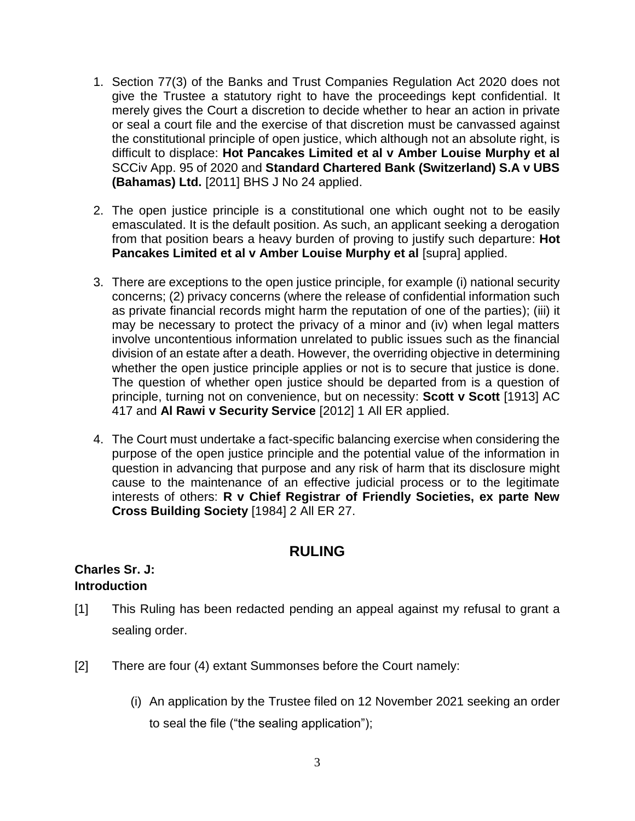- 1. Section 77(3) of the Banks and Trust Companies Regulation Act 2020 does not give the Trustee a statutory right to have the proceedings kept confidential. It merely gives the Court a discretion to decide whether to hear an action in private or seal a court file and the exercise of that discretion must be canvassed against the constitutional principle of open justice, which although not an absolute right, is difficult to displace: **Hot Pancakes Limited et al v Amber Louise Murphy et al** SCCiv App. 95 of 2020 and **Standard Chartered Bank (Switzerland) S.A v UBS (Bahamas) Ltd.** [2011] BHS J No 24 applied.
- 2. The open justice principle is a constitutional one which ought not to be easily emasculated. It is the default position. As such, an applicant seeking a derogation from that position bears a heavy burden of proving to justify such departure: **Hot Pancakes Limited et al v Amber Louise Murphy et al** [supra] applied.
- 3. There are exceptions to the open justice principle, for example (i) national security concerns; (2) privacy concerns (where the release of confidential information such as private financial records might harm the reputation of one of the parties); (iii) it may be necessary to protect the privacy of a minor and (iv) when legal matters involve uncontentious information unrelated to public issues such as the financial division of an estate after a death. However, the overriding objective in determining whether the open justice principle applies or not is to secure that justice is done. The question of whether open justice should be departed from is a question of principle, turning not on convenience, but on necessity: **Scott v Scott** [1913] AC 417 and **Al Rawi v Security Service** [2012] 1 All ER applied.
- 4. The Court must undertake a fact-specific balancing exercise when considering the purpose of the open justice principle and the potential value of the information in question in advancing that purpose and any risk of harm that its disclosure might cause to the maintenance of an effective judicial process or to the legitimate interests of others: **R v Chief Registrar of Friendly Societies, ex parte New Cross Building Society** [1984] 2 All ER 27.

# **RULING**

### **Charles Sr. J: Introduction**

- [1] This Ruling has been redacted pending an appeal against my refusal to grant a sealing order.
- [2] There are four (4) extant Summonses before the Court namely:
	- (i) An application by the Trustee filed on 12 November 2021 seeking an order to seal the file ("the sealing application");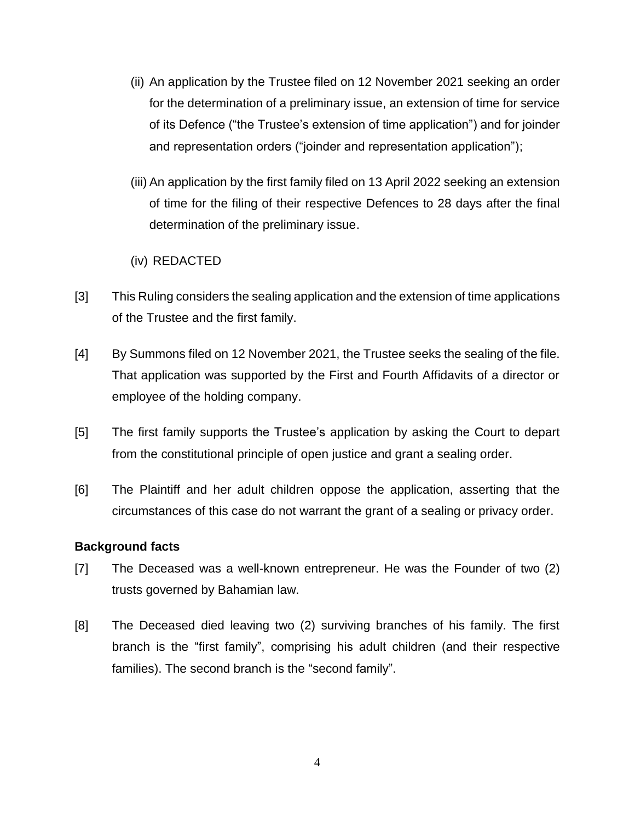- (ii) An application by the Trustee filed on 12 November 2021 seeking an order for the determination of a preliminary issue, an extension of time for service of its Defence ("the Trustee's extension of time application") and for joinder and representation orders ("joinder and representation application");
- (iii) An application by the first family filed on 13 April 2022 seeking an extension of time for the filing of their respective Defences to 28 days after the final determination of the preliminary issue.

### (iv) REDACTED

- [3] This Ruling considers the sealing application and the extension of time applications of the Trustee and the first family.
- [4] By Summons filed on 12 November 2021, the Trustee seeks the sealing of the file. That application was supported by the First and Fourth Affidavits of a director or employee of the holding company.
- [5] The first family supports the Trustee's application by asking the Court to depart from the constitutional principle of open justice and grant a sealing order.
- [6] The Plaintiff and her adult children oppose the application, asserting that the circumstances of this case do not warrant the grant of a sealing or privacy order.

### **Background facts**

- [7] The Deceased was a well-known entrepreneur. He was the Founder of two (2) trusts governed by Bahamian law.
- [8] The Deceased died leaving two (2) surviving branches of his family. The first branch is the "first family", comprising his adult children (and their respective families). The second branch is the "second family".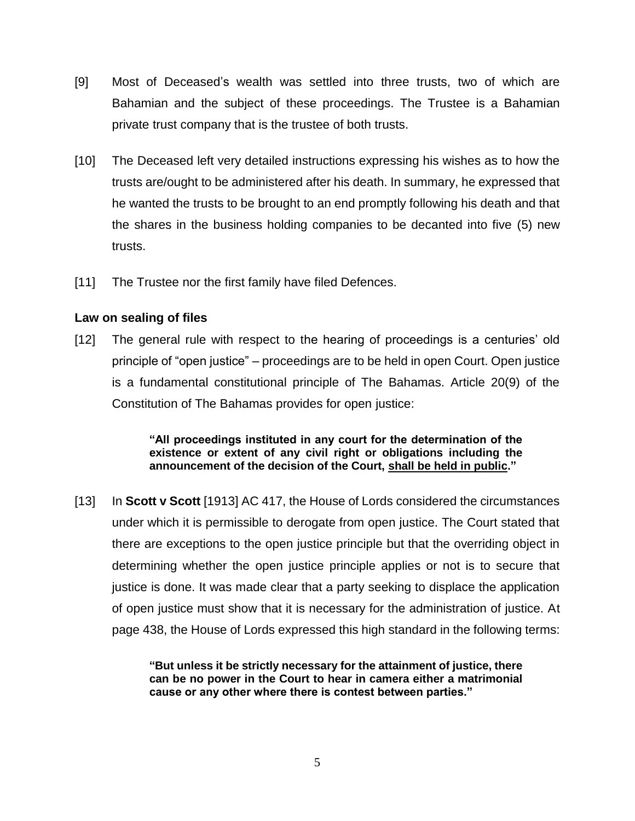- [9] Most of Deceased's wealth was settled into three trusts, two of which are Bahamian and the subject of these proceedings. The Trustee is a Bahamian private trust company that is the trustee of both trusts.
- [10] The Deceased left very detailed instructions expressing his wishes as to how the trusts are/ought to be administered after his death. In summary, he expressed that he wanted the trusts to be brought to an end promptly following his death and that the shares in the business holding companies to be decanted into five (5) new trusts.
- [11] The Trustee nor the first family have filed Defences.

#### **Law on sealing of files**

[12] The general rule with respect to the hearing of proceedings is a centuries' old principle of "open justice" – proceedings are to be held in open Court. Open justice is a fundamental constitutional principle of The Bahamas. Article 20(9) of the Constitution of The Bahamas provides for open justice:

> **"All proceedings instituted in any court for the determination of the existence or extent of any civil right or obligations including the announcement of the decision of the Court, shall be held in public."**

[13] In **Scott v Scott** [1913] AC 417, the House of Lords considered the circumstances under which it is permissible to derogate from open justice. The Court stated that there are exceptions to the open justice principle but that the overriding object in determining whether the open justice principle applies or not is to secure that justice is done. It was made clear that a party seeking to displace the application of open justice must show that it is necessary for the administration of justice. At page 438, the House of Lords expressed this high standard in the following terms:

> **"But unless it be strictly necessary for the attainment of justice, there can be no power in the Court to hear in camera either a matrimonial cause or any other where there is contest between parties."**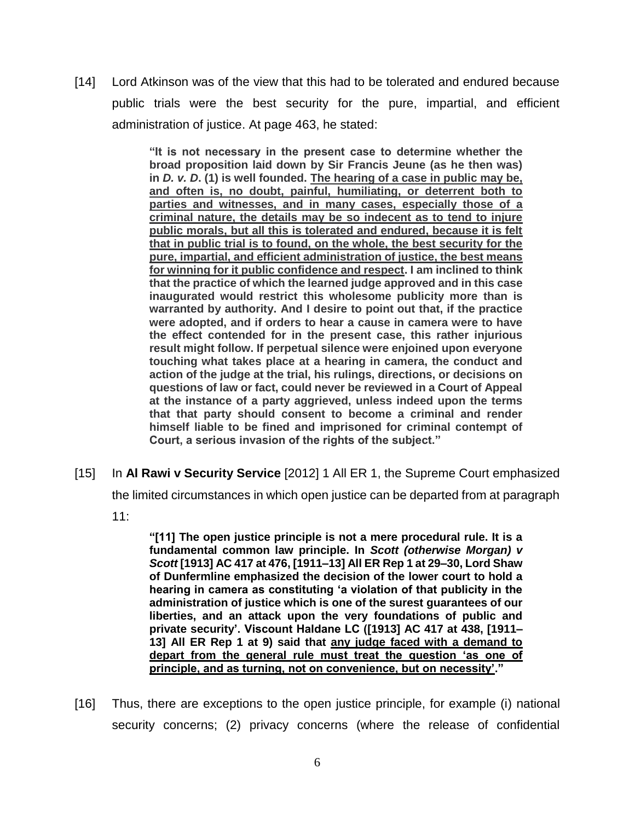[14] Lord Atkinson was of the view that this had to be tolerated and endured because public trials were the best security for the pure, impartial, and efficient administration of justice. At page 463, he stated:

> **"It is not necessary in the present case to determine whether the broad proposition laid down by Sir Francis Jeune (as he then was) in** *D. v. D***. (1) is well founded. The hearing of a case in public may be, and often is, no doubt, painful, humiliating, or deterrent both to parties and witnesses, and in many cases, especially those of a criminal nature, the details may be so indecent as to tend to injure public morals, but all this is tolerated and endured, because it is felt that in public trial is to found, on the whole, the best security for the pure, impartial, and efficient administration of justice, the best means for winning for it public confidence and respect. I am inclined to think that the practice of which the learned judge approved and in this case inaugurated would restrict this wholesome publicity more than is warranted by authority. And I desire to point out that, if the practice were adopted, and if orders to hear a cause in camera were to have the effect contended for in the present case, this rather injurious result might follow. If perpetual silence were enjoined upon everyone touching what takes place at a hearing in camera, the conduct and action of the judge at the trial, his rulings, directions, or decisions on questions of law or fact, could never be reviewed in a Court of Appeal at the instance of a party aggrieved, unless indeed upon the terms that that party should consent to become a criminal and render himself liable to be fined and imprisoned for criminal contempt of Court, a serious invasion of the rights of the subject."**

[15] In **Al Rawi v Security Service** [2012] 1 All ER 1, the Supreme Court emphasized

the limited circumstances in which open justice can be departed from at paragraph

11:

**"[11] The open justice principle is not a mere procedural rule. It is a fundamental common law principle. In** *Scott (otherwise Morgan) v Scott* **[\[1913\] AC 417 at 476,](https://www.lexisnexis.com/uk/legal/citationlinkHandler.faces?bct=A&service=citation&risb=&AC&$sel1!%251913%25$year!%251913%25$page!%25417%25$tpage!%25476%25) [\[1911–13\] All ER Rep 1 at 29–30,](https://www.lexisnexis.com/uk/legal/citationlinkHandler.faces?bct=A&service=citation&risb=&ALLERREP&$sel1!%251911-13%25$year!%251911-13%25$page!%251%25$tpage!%2529%25) Lord Shaw of Dunfermline emphasized the decision of the lower court to hold a hearing in camera as constituting 'a violation of that publicity in the administration of justice which is one of the surest guarantees of our liberties, and an attack upon the very foundations of public and private security'. Viscount Haldane LC [\(\[1913\] AC 417 at 438,](https://www.lexisnexis.com/uk/legal/citationlinkHandler.faces?bct=A&service=citation&risb=&AC&$sel1!%251913%25$year!%251913%25$page!%25417%25$tpage!%25438%25) [\[1911–](https://www.lexisnexis.com/uk/legal/citationlinkHandler.faces?bct=A&service=citation&risb=&ALLERREP&$sel1!%251911-13%25$year!%251911-13%25$page!%251%25$tpage!%259%25) [13\] All ER Rep 1 at 9\)](https://www.lexisnexis.com/uk/legal/citationlinkHandler.faces?bct=A&service=citation&risb=&ALLERREP&$sel1!%251911-13%25$year!%251911-13%25$page!%251%25$tpage!%259%25) said that any judge faced with a demand to depart from the general rule must treat the question 'as one of principle, and as turning, not on convenience, but on necessity'."**

[16] Thus, there are exceptions to the open justice principle, for example (i) national security concerns; (2) privacy concerns (where the release of confidential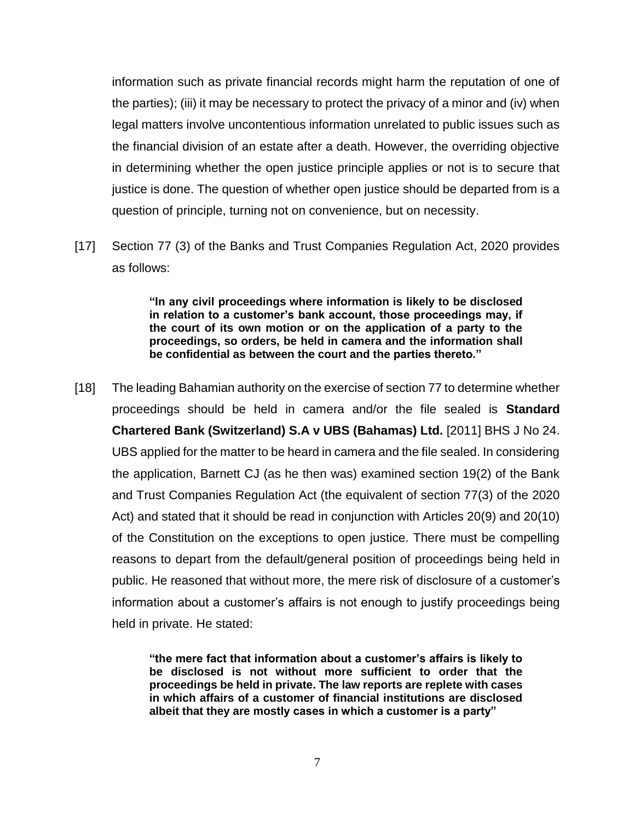information such as private financial records might harm the reputation of one of the parties); (iii) it may be necessary to protect the privacy of a minor and (iv) when legal matters involve uncontentious information unrelated to public issues such as the financial division of an estate after a death. However, the overriding objective in determining whether the open justice principle applies or not is to secure that justice is done. The question of whether open justice should be departed from is a question of principle, turning not on convenience, but on necessity.

[17] Section 77 (3) of the Banks and Trust Companies Regulation Act, 2020 provides as follows:

> **"In any civil proceedings where information is likely to be disclosed in relation to a customer's bank account, those proceedings may, if the court of its own motion or on the application of a party to the proceedings, so orders, be held in camera and the information shall be confidential as between the court and the parties thereto."**

[18] The leading Bahamian authority on the exercise of section 77 to determine whether proceedings should be held in camera and/or the file sealed is **Standard Chartered Bank (Switzerland) S.A v UBS (Bahamas) Ltd.** [2011] BHS J No 24. UBS applied for the matter to be heard in camera and the file sealed. In considering the application, Barnett CJ (as he then was) examined section 19(2) of the Bank and Trust Companies Regulation Act (the equivalent of section 77(3) of the 2020 Act) and stated that it should be read in conjunction with Articles 20(9) and 20(10) of the Constitution on the exceptions to open justice. There must be compelling reasons to depart from the default/general position of proceedings being held in public. He reasoned that without more, the mere risk of disclosure of a customer's information about a customer's affairs is not enough to justify proceedings being held in private. He stated:

> **"the mere fact that information about a customer's affairs is likely to be disclosed is not without more sufficient to order that the proceedings be held in private. The law reports are replete with cases in which affairs of a customer of financial institutions are disclosed albeit that they are mostly cases in which a customer is a party"**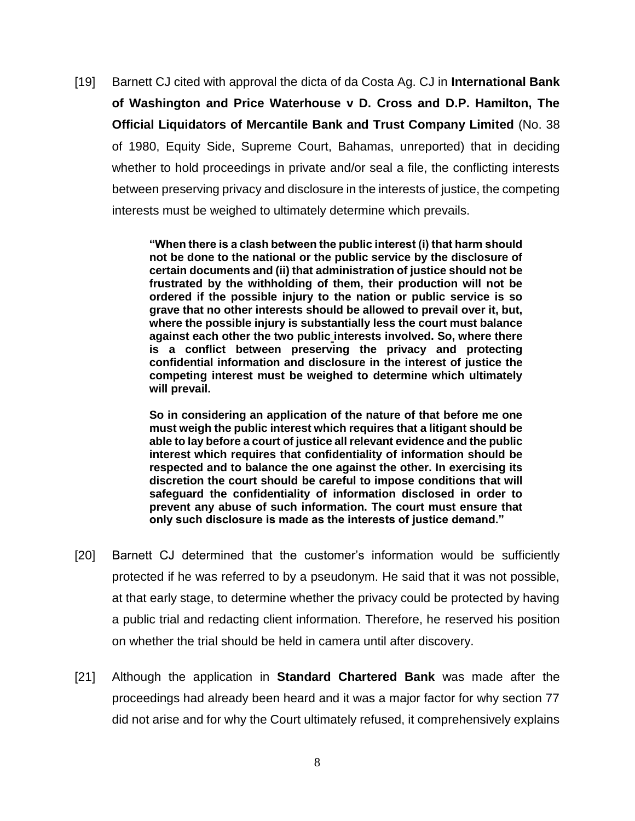[19] Barnett CJ cited with approval the dicta of da Costa Ag. CJ in **International Bank of Washington and Price Waterhouse v D. Cross and D.P. Hamilton, The Official Liquidators of Mercantile Bank and Trust Company Limited** (No. 38 of 1980, Equity Side, Supreme Court, Bahamas, unreported) that in deciding whether to hold proceedings in private and/or seal a file, the conflicting interests between preserving privacy and disclosure in the interests of justice, the competing interests must be weighed to ultimately determine which prevails.

> **"When there is a clash between the public interest (i) that harm should not be done to the national or the public service by the disclosure of certain documents and (ii) that administration of justice should not be frustrated by the withholding of them, their production will not be ordered if the possible injury to the nation or public service is so grave that no other interests should be allowed to prevail over it, but, where the possible injury is substantially less the court must balance against each other the two public interests involved. So, where there is a conflict between preserving the privacy and protecting confidential information and disclosure in the interest of justice the competing interest must be weighed to determine which ultimately will prevail.**

> **So in considering an application of the nature of that before me one must weigh the public interest which requires that a litigant should be able to lay before a court of justice all relevant evidence and the public interest which requires that confidentiality of information should be respected and to balance the one against the other. In exercising its discretion the court should be careful to impose conditions that will safeguard the confidentiality of information disclosed in order to prevent any abuse of such information. The court must ensure that only such disclosure is made as the interests of justice demand."**

- [20] Barnett CJ determined that the customer's information would be sufficiently protected if he was referred to by a pseudonym. He said that it was not possible, at that early stage, to determine whether the privacy could be protected by having a public trial and redacting client information. Therefore, he reserved his position on whether the trial should be held in camera until after discovery.
- [21] Although the application in **Standard Chartered Bank** was made after the proceedings had already been heard and it was a major factor for why section 77 did not arise and for why the Court ultimately refused, it comprehensively explains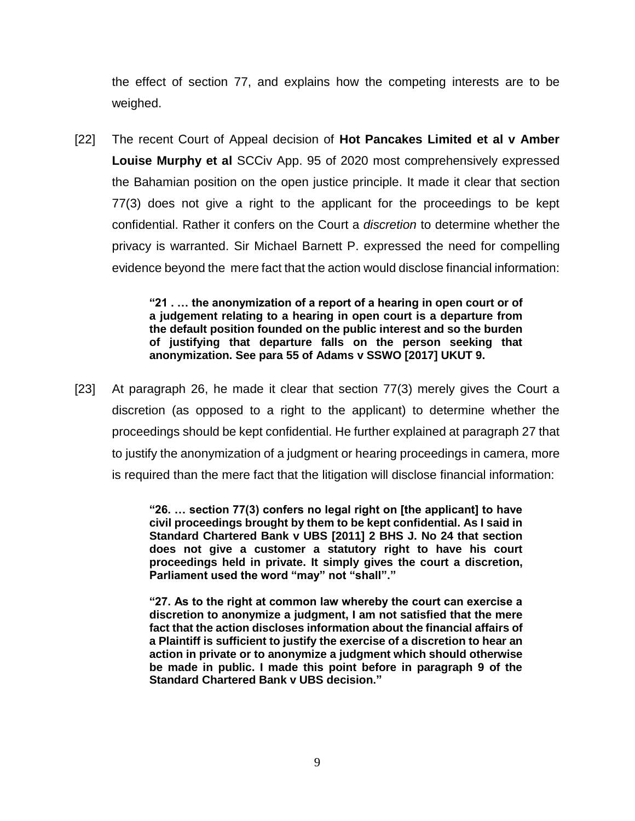the effect of section 77, and explains how the competing interests are to be weighed.

[22] The recent Court of Appeal decision of **Hot Pancakes Limited et al v Amber Louise Murphy et al** SCCiv App. 95 of 2020 most comprehensively expressed the Bahamian position on the open justice principle. It made it clear that section 77(3) does not give a right to the applicant for the proceedings to be kept confidential. Rather it confers on the Court a *discretion* to determine whether the privacy is warranted. Sir Michael Barnett P. expressed the need for compelling evidence beyond the mere fact that the action would disclose financial information:

> **"21 . … the anonymization of a report of a hearing in open court or of a judgement relating to a hearing in open court is a departure from the default position founded on the public interest and so the burden of justifying that departure falls on the person seeking that anonymization. See para 55 of Adams v SSWO [2017] UKUT 9.**

[23] At paragraph 26, he made it clear that section 77(3) merely gives the Court a discretion (as opposed to a right to the applicant) to determine whether the proceedings should be kept confidential. He further explained at paragraph 27 that to justify the anonymization of a judgment or hearing proceedings in camera, more is required than the mere fact that the litigation will disclose financial information:

> **"26. … section 77(3) confers no legal right on [the applicant] to have civil proceedings brought by them to be kept confidential. As I said in Standard Chartered Bank v UBS [2011] 2 BHS J. No 24 that section does not give a customer a statutory right to have his court proceedings held in private. It simply gives the court a discretion, Parliament used the word "may" not "shall"."**

> **"27. As to the right at common law whereby the court can exercise a discretion to anonymize a judgment, I am not satisfied that the mere fact that the action discloses information about the financial affairs of a Plaintiff is sufficient to justify the exercise of a discretion to hear an action in private or to anonymize a judgment which should otherwise be made in public. I made this point before in paragraph 9 of the Standard Chartered Bank v UBS decision."**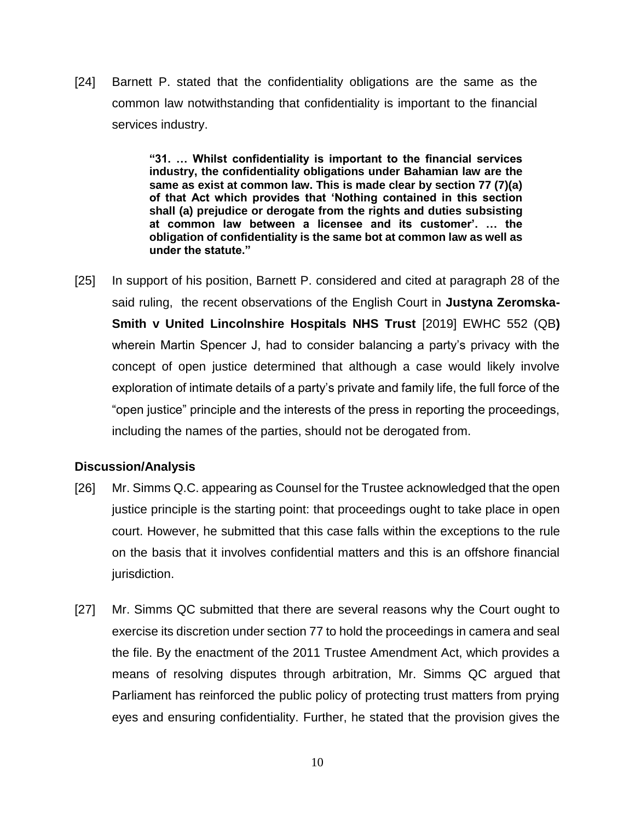[24] Barnett P. stated that the confidentiality obligations are the same as the common law notwithstanding that confidentiality is important to the financial services industry.

> **"31. … Whilst confidentiality is important to the financial services industry, the confidentiality obligations under Bahamian law are the same as exist at common law. This is made clear by section 77 (7)(a) of that Act which provides that 'Nothing contained in this section shall (a) prejudice or derogate from the rights and duties subsisting at common law between a licensee and its customer'. … the obligation of confidentiality is the same bot at common law as well as under the statute."**

[25] In support of his position, Barnett P. considered and cited at paragraph 28 of the said ruling, the recent observations of the English Court in **Justyna Zeromska-Smith v United Lincolnshire Hospitals NHS Trust** [2019] EWHC 552 (QB**)** wherein Martin Spencer J, had to consider balancing a party's privacy with the concept of open justice determined that although a case would likely involve exploration of intimate details of a party's private and family life, the full force of the "open justice" principle and the interests of the press in reporting the proceedings, including the names of the parties, should not be derogated from.

### **Discussion/Analysis**

- [26] Mr. Simms Q.C. appearing as Counsel for the Trustee acknowledged that the open justice principle is the starting point: that proceedings ought to take place in open court. However, he submitted that this case falls within the exceptions to the rule on the basis that it involves confidential matters and this is an offshore financial jurisdiction.
- [27] Mr. Simms QC submitted that there are several reasons why the Court ought to exercise its discretion under section 77 to hold the proceedings in camera and seal the file. By the enactment of the 2011 Trustee Amendment Act, which provides a means of resolving disputes through arbitration, Mr. Simms QC argued that Parliament has reinforced the public policy of protecting trust matters from prying eyes and ensuring confidentiality. Further, he stated that the provision gives the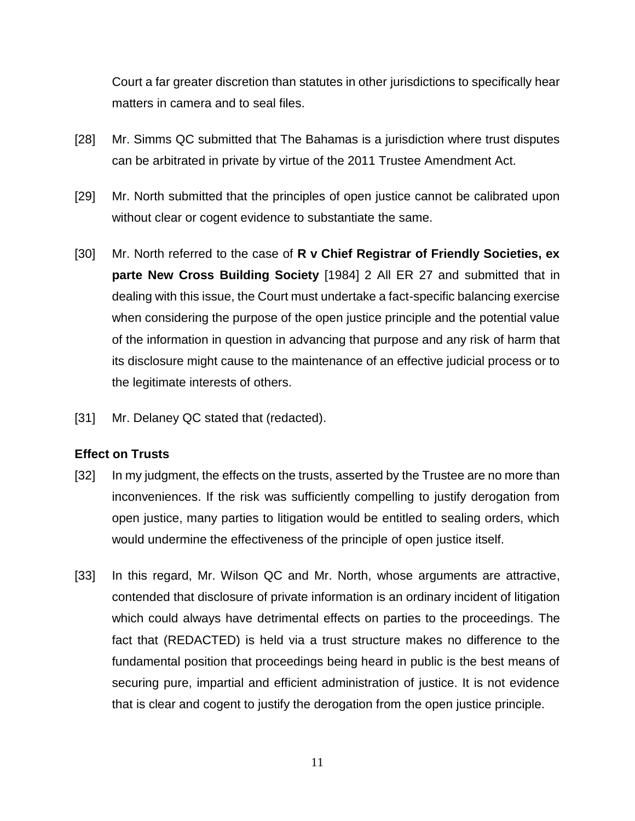Court a far greater discretion than statutes in other jurisdictions to specifically hear matters in camera and to seal files.

- [28] Mr. Simms QC submitted that The Bahamas is a jurisdiction where trust disputes can be arbitrated in private by virtue of the 2011 Trustee Amendment Act.
- [29] Mr. North submitted that the principles of open justice cannot be calibrated upon without clear or cogent evidence to substantiate the same.
- [30] Mr. North referred to the case of **R v Chief Registrar of Friendly Societies, ex parte New Cross Building Society** [1984] 2 All ER 27 and submitted that in dealing with this issue, the Court must undertake a fact-specific balancing exercise when considering the purpose of the open justice principle and the potential value of the information in question in advancing that purpose and any risk of harm that its disclosure might cause to the maintenance of an effective judicial process or to the legitimate interests of others.
- [31] Mr. Delaney QC stated that (redacted).

#### **Effect on Trusts**

- [32] In my judgment, the effects on the trusts, asserted by the Trustee are no more than inconveniences. If the risk was sufficiently compelling to justify derogation from open justice, many parties to litigation would be entitled to sealing orders, which would undermine the effectiveness of the principle of open justice itself.
- [33] In this regard, Mr. Wilson QC and Mr. North, whose arguments are attractive, contended that disclosure of private information is an ordinary incident of litigation which could always have detrimental effects on parties to the proceedings. The fact that (REDACTED) is held via a trust structure makes no difference to the fundamental position that proceedings being heard in public is the best means of securing pure, impartial and efficient administration of justice. It is not evidence that is clear and cogent to justify the derogation from the open justice principle.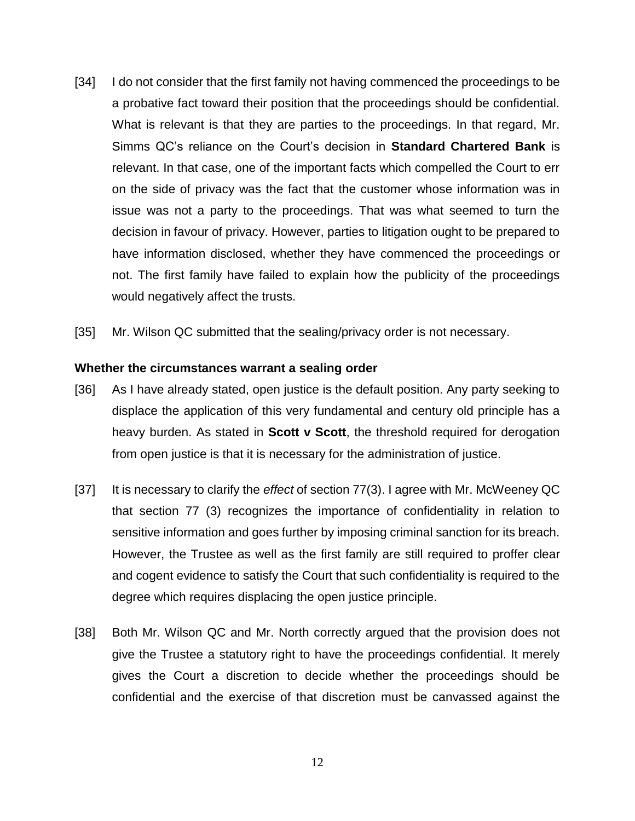- [34] I do not consider that the first family not having commenced the proceedings to be a probative fact toward their position that the proceedings should be confidential. What is relevant is that they are parties to the proceedings. In that regard, Mr. Simms QC's reliance on the Court's decision in **Standard Chartered Bank** is relevant. In that case, one of the important facts which compelled the Court to err on the side of privacy was the fact that the customer whose information was in issue was not a party to the proceedings. That was what seemed to turn the decision in favour of privacy. However, parties to litigation ought to be prepared to have information disclosed, whether they have commenced the proceedings or not. The first family have failed to explain how the publicity of the proceedings would negatively affect the trusts.
- [35] Mr. Wilson QC submitted that the sealing/privacy order is not necessary.

#### **Whether the circumstances warrant a sealing order**

- [36] As I have already stated, open justice is the default position. Any party seeking to displace the application of this very fundamental and century old principle has a heavy burden. As stated in **Scott v Scott**, the threshold required for derogation from open justice is that it is necessary for the administration of justice.
- [37] It is necessary to clarify the *effect* of section 77(3). I agree with Mr. McWeeney QC that section 77 (3) recognizes the importance of confidentiality in relation to sensitive information and goes further by imposing criminal sanction for its breach. However, the Trustee as well as the first family are still required to proffer clear and cogent evidence to satisfy the Court that such confidentiality is required to the degree which requires displacing the open justice principle.
- [38] Both Mr. Wilson QC and Mr. North correctly argued that the provision does not give the Trustee a statutory right to have the proceedings confidential. It merely gives the Court a discretion to decide whether the proceedings should be confidential and the exercise of that discretion must be canvassed against the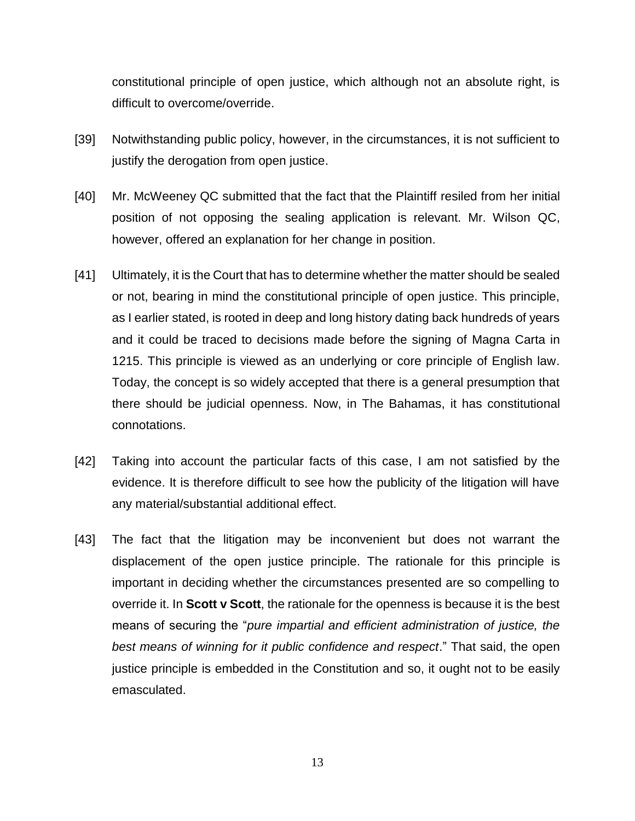constitutional principle of open justice, which although not an absolute right, is difficult to overcome/override.

- [39] Notwithstanding public policy, however, in the circumstances, it is not sufficient to justify the derogation from open justice.
- [40] Mr. McWeeney QC submitted that the fact that the Plaintiff resiled from her initial position of not opposing the sealing application is relevant. Mr. Wilson QC, however, offered an explanation for her change in position.
- [41] Ultimately, it is the Court that has to determine whether the matter should be sealed or not, bearing in mind the constitutional principle of open justice. This principle, as I earlier stated, is rooted in deep and long history dating back hundreds of years and it could be traced to decisions made before the signing of Magna Carta in 1215. This principle is viewed as an underlying or core principle of English law. Today, the concept is so widely accepted that there is a general presumption that there should be judicial openness. Now, in The Bahamas, it has constitutional connotations.
- [42] Taking into account the particular facts of this case, I am not satisfied by the evidence. It is therefore difficult to see how the publicity of the litigation will have any material/substantial additional effect.
- [43] The fact that the litigation may be inconvenient but does not warrant the displacement of the open justice principle. The rationale for this principle is important in deciding whether the circumstances presented are so compelling to override it. In **Scott v Scott**, the rationale for the openness is because it is the best means of securing the "*pure impartial and efficient administration of justice, the best means of winning for it public confidence and respect*." That said, the open justice principle is embedded in the Constitution and so, it ought not to be easily emasculated.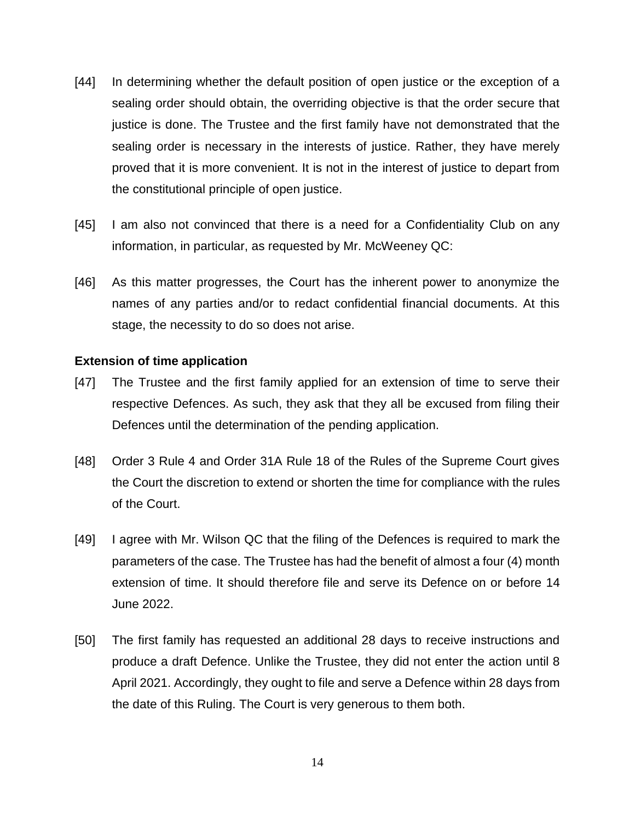- [44] In determining whether the default position of open justice or the exception of a sealing order should obtain, the overriding objective is that the order secure that justice is done. The Trustee and the first family have not demonstrated that the sealing order is necessary in the interests of justice. Rather, they have merely proved that it is more convenient. It is not in the interest of justice to depart from the constitutional principle of open justice.
- [45] I am also not convinced that there is a need for a Confidentiality Club on any information, in particular, as requested by Mr. McWeeney QC:
- [46] As this matter progresses, the Court has the inherent power to anonymize the names of any parties and/or to redact confidential financial documents. At this stage, the necessity to do so does not arise.

#### **Extension of time application**

- [47] The Trustee and the first family applied for an extension of time to serve their respective Defences. As such, they ask that they all be excused from filing their Defences until the determination of the pending application.
- [48] Order 3 Rule 4 and Order 31A Rule 18 of the Rules of the Supreme Court gives the Court the discretion to extend or shorten the time for compliance with the rules of the Court.
- [49] I agree with Mr. Wilson QC that the filing of the Defences is required to mark the parameters of the case. The Trustee has had the benefit of almost a four (4) month extension of time. It should therefore file and serve its Defence on or before 14 June 2022.
- [50] The first family has requested an additional 28 days to receive instructions and produce a draft Defence. Unlike the Trustee, they did not enter the action until 8 April 2021. Accordingly, they ought to file and serve a Defence within 28 days from the date of this Ruling. The Court is very generous to them both.